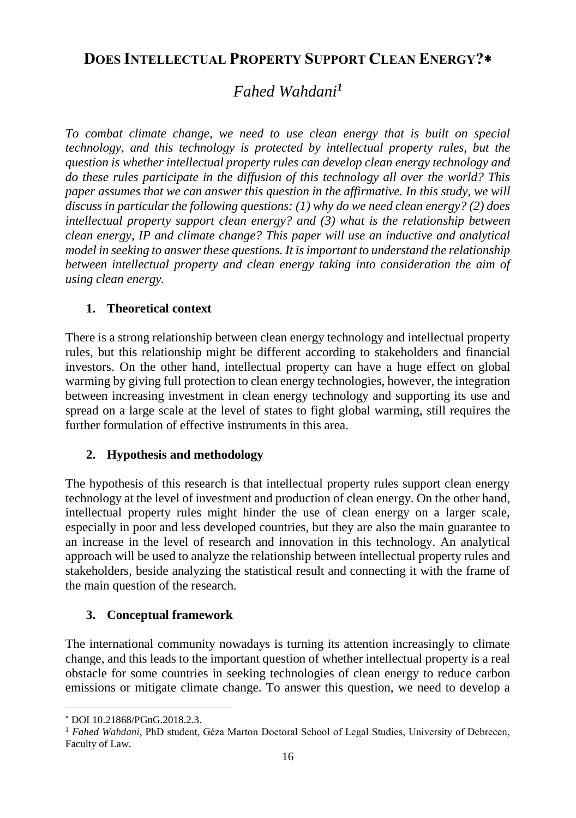# **DOES INTELLECTUAL PROPERTY SUPPORT CLEAN ENERGY?**

# *Fahed Wahdani<sup>1</sup>*

*To combat climate change, we need to use clean energy that is built on special technology, and this technology is protected by intellectual property rules, but the question is whether intellectual property rules can develop clean energy technology and do these rules participate in the diffusion of this technology all over the world? This paper assumes that we can answer this question in the affirmative. In this study, we will discuss in particular the following questions: (1) why do we need clean energy? (2) does intellectual property support clean energy? and (3) what is the relationship between clean energy, IP and climate change? This paper will use an inductive and analytical model in seeking to answer these questions. It is important to understand the relationship between intellectual property and clean energy taking into consideration the aim of using clean energy.*

## **1. Theoretical context**

There is a strong relationship between clean energy technology and intellectual property rules, but this relationship might be different according to stakeholders and financial investors. On the other hand, intellectual property can have a huge effect on global warming by giving full protection to clean energy technologies, however, the integration between increasing investment in clean energy technology and supporting its use and spread on a large scale at the level of states to fight global warming, still requires the further formulation of effective instruments in this area.

## **2. Hypothesis and methodology**

The hypothesis of this research is that intellectual property rules support clean energy technology at the level of investment and production of clean energy. On the other hand, intellectual property rules might hinder the use of clean energy on a larger scale, especially in poor and less developed countries, but they are also the main guarantee to an increase in the level of research and innovation in this technology. An analytical approach will be used to analyze the relationship between intellectual property rules and stakeholders, beside analyzing the statistical result and connecting it with the frame of the main question of the research*.*

## **3. Conceptual framework**

The international community nowadays is turning its attention increasingly to climate change, and this leads to the important question of whether intellectual property is a real obstacle for some countries in seeking technologies of clean energy to reduce carbon emissions or mitigate climate change. To answer this question, we need to develop a

l

DOI 10.21868/PGnG.2018.2.3.

<sup>&</sup>lt;sup>1</sup> *Fahed Wahdani*, PhD student, Géza Marton Doctoral School of Legal Studies, University of Debrecen, Faculty of Law.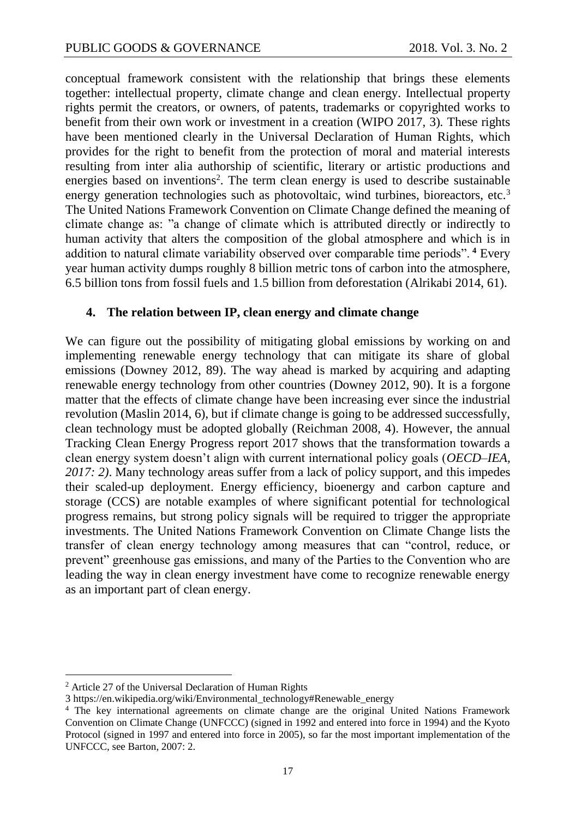conceptual framework consistent with the relationship that brings these elements together: intellectual property, climate change and clean energy. Intellectual property rights permit the creators, or owners, of patents, trademarks or copyrighted works to benefit from their own work or investment in a creation (WIPO 2017, 3)*.* These rights have been mentioned clearly in the Universal Declaration of Human Rights, which provides for the right to benefit from the protection of moral and material interests resulting from inter alia authorship of scientific, literary or artistic productions and energies based on inventions<sup>2</sup>. The term clean energy is used to describe sustainable energy generation technologies such as photovoltaic, wind turbines, bioreactors, etc. $3$ The United Nations Framework Convention on Climate Change defined the meaning of climate change as: "a change of climate which is attributed directly or indirectly to human activity that alters the composition of the global atmosphere and which is in addition to natural climate variability observed over comparable time periods". **<sup>4</sup>** Every year human activity dumps roughly 8 billion metric tons of carbon into the atmosphere, 6.5 billion tons from fossil fuels and 1.5 billion from deforestation (Alrikabi 2014, 61).

#### **4. The relation between IP, clean energy and climate change**

We can figure out the possibility of mitigating global emissions by working on and implementing renewable energy technology that can mitigate its share of global emissions (Downey 2012, 89). The way ahead is marked by acquiring and adapting renewable energy technology from other countries (Downey 2012, 90). It is a forgone matter that the effects of climate change have been increasing ever since the industrial revolution (Maslin 2014, 6), but if climate change is going to be addressed successfully, clean technology must be adopted globally (Reichman 2008, 4). However, the annual Tracking Clean Energy Progress report 2017 shows that the transformation towards a clean energy system doesn't align with current international policy goals (*OECD–IEA, 2017: 2)*. Many technology areas suffer from a lack of policy support, and this impedes their scaled-up deployment. Energy efficiency, bioenergy and carbon capture and storage (CCS) are notable examples of where significant potential for technological progress remains, but strong policy signals will be required to trigger the appropriate investments. The United Nations Framework Convention on Climate Change lists the transfer of clean energy technology among measures that can "control, reduce, or prevent" greenhouse gas emissions, and many of the Parties to the Convention who are leading the way in clean energy investment have come to recognize renewable energy as an important part of clean energy.

 $\overline{a}$ 

<sup>2</sup> Article 27 of the Universal Declaration of Human Rights

<sup>3</sup> https://en.wikipedia.org/wiki/Environmental\_technology#Renewable\_energy

<sup>4</sup> The key international agreements on climate change are the original United Nations Framework Convention on Climate Change (UNFCCC) (signed in 1992 and entered into force in 1994) and the Kyoto Protocol (signed in 1997 and entered into force in 2005), so far the most important implementation of the UNFCCC, see Barton, 2007: 2.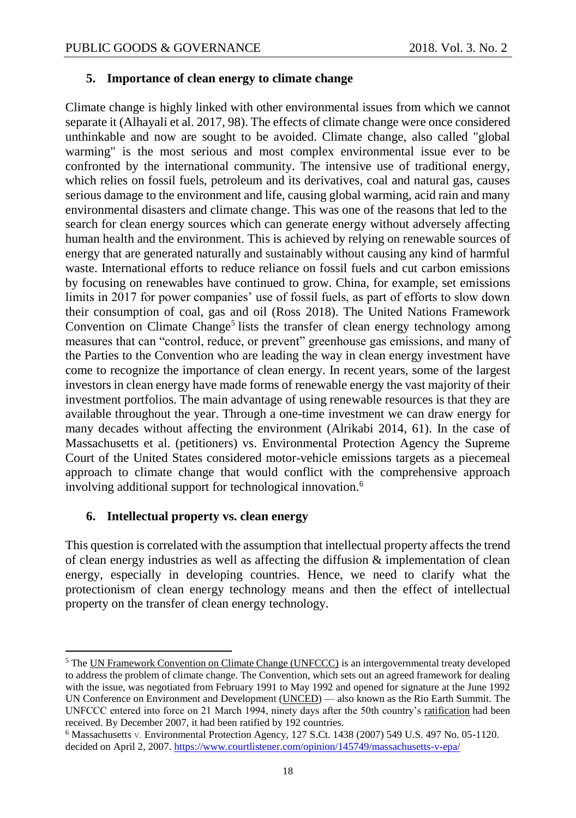#### **5. Importance of clean energy to climate change**

Climate change is highly linked with other environmental issues from which we cannot separate it (Alhayali et al. 2017, 98). The effects of climate change were once considered unthinkable and now are sought to be avoided. Climate change, also called "global warming" is the most serious and most complex environmental issue ever to be confronted by the international community. The intensive use of traditional energy, which relies on fossil fuels, petroleum and its derivatives, coal and natural gas, causes serious damage to the environment and life, causing global warming, acid rain and many environmental disasters and climate change. This was one of the reasons that led to the search for clean energy sources which can generate energy without adversely affecting human health and the environment. This is achieved by relying on renewable sources of energy that are generated naturally and sustainably without causing any kind of harmful waste. International efforts to reduce reliance on fossil fuels and cut carbon emissions by focusing on renewables have continued to grow. China, for example, set emissions limits in 2017 for power companies' use of fossil fuels, as part of efforts to slow down their consumption of coal, gas and oil (Ross 2018). The United Nations Framework Convention on Climate Change<sup>5</sup> lists the transfer of clean energy technology among measures that can "control, reduce, or prevent" greenhouse gas emissions, and many of the Parties to the Convention who are leading the way in clean energy investment have come to recognize the importance of clean energy. In recent years, some of the largest investors in clean energy have made forms of renewable energy the vast majority of their investment portfolios. The main advantage of using renewable resources is that they are available throughout the year. Through a one-time investment we can draw energy for many decades without affecting the environment (Alrikabi 2014, 61). In the case of Massachusetts et al. (petitioners) vs. Environmental Protection Agency the Supreme Court of the United States considered motor-vehicle emissions targets as a piecemeal approach to climate change that would conflict with the comprehensive approach involving additional support for technological innovation.<sup>6</sup>

## **6. Intellectual property vs. clean energy**

 $\overline{a}$ 

This question is correlated with the assumption that intellectual property affects the trend of clean energy industries as well as affecting the diffusion  $\&$  implementation of clean energy, especially in developing countries. Hence, we need to clarify what the protectionism of clean energy technology means and then the effect of intellectual property on the transfer of clean energy technology.

<sup>&</sup>lt;sup>5</sup> The [UN Framework Convention on Climate Change \(UNFCCC\)](http://unfccc.int/essential_background/feeling_the_heat/items/2914.php) is an intergovernmental treaty developed to address the problem of climate change. The Convention, which sets out an agreed framework for dealing with the issue, was negotiated from February 1991 to May 1992 and opened for signature at the June 1992 UN Conference on Environment and Development [\(UNCED\)](http://enb.iisd.org/vol02/0213000e.html) — also known as the Rio Earth Summit. The UNFCCC entered into force on 21 March 1994, ninety days after the 50th country's [ratification](http://unfccc.int/essential_background/convention/status_of_ratification/items/2631.php) had been received. By December 2007, it had been ratified by 192 countries.

<sup>6</sup> Massachusetts v. Environmental Protection Agency, 127 S.Ct. 1438 (2007) 549 U.S. 497 No. 05-1120. decided on April 2, 2007.<https://www.courtlistener.com/opinion/145749/massachusetts-v-epa/>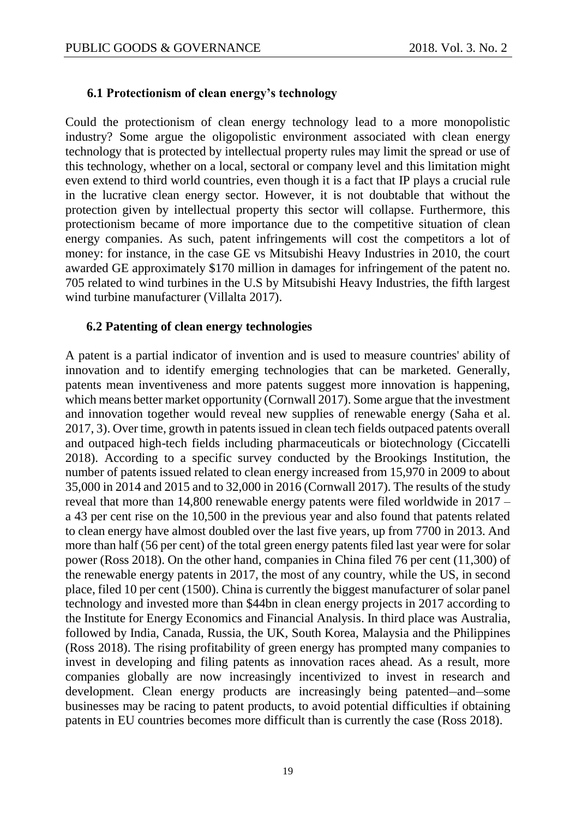#### **6.1 Protectionism of clean energy's technology**

Could the protectionism of clean energy technology lead to a more monopolistic industry? Some argue the oligopolistic environment associated with clean energy technology that is protected by intellectual property rules may limit the spread or use of this technology, whether on a local, sectoral or company level and this limitation might even extend to third world countries, even though it is a fact that IP plays a crucial rule in the lucrative clean energy sector. However, it is not doubtable that without the protection given by intellectual property this sector will collapse. Furthermore, this protectionism became of more importance due to the competitive situation of clean energy companies. As such, patent infringements will cost the competitors a lot of money: for instance, in the case GE vs Mitsubishi Heavy Industries in 2010, the court awarded GE approximately \$170 million in damages for infringement of the patent no. 705 related to wind turbines in the U.S by Mitsubishi Heavy Industries, the fifth largest wind turbine manufacturer (Villalta 2017).

#### **6.2 Patenting of clean energy technologies**

A patent is a partial indicator of invention and is used to measure countries' ability of innovation and to identify emerging technologies that can be marketed. Generally, patents mean inventiveness and more patents suggest more innovation is happening, which means better market opportunity (Cornwall 2017). Some argue that the investment and innovation together would reveal new supplies of renewable energy (Saha et al. 2017, 3). Over time, growth in patents issued in clean tech fields outpaced patents overall and outpaced high-tech fields including pharmaceuticals or biotechnology (Ciccatelli 2018). According to a specific survey conducted by the [Brookings Institution,](https://www.brookings.edu/research/patenting-invention-clean-energy-innovation-trends-and-priorities-for-the-trump-administration-and-congress/) the number of patents issued related to clean energy increased from 15,970 in 2009 to about 35,000 in 2014 and 2015 and to 32,000 in 2016 (Cornwall 2017). The results of the study reveal that more than 14,800 renewable energy patents were filed worldwide in 2017 – a 43 per cent rise on the 10,500 in the previous year and also found that patents related to clean energy have almost doubled over the last five years, up from 7700 in 2013. And more than half (56 per cent) of the total green energy patents filed last year were for solar power (Ross 2018). On the other hand, companies in [China](https://www.powerengineeringint.com/content/pei/en/world-regions/asia/more-asia.html) filed 76 per cent (11,300) of the renewable energy patents in 2017, the most of any country, while the [US,](https://www.powerengineeringint.com/content/pei/en/world-regions/north-america/more-north-america.html) in second place, filed 10 per cent (1500). China is currently the biggest manufacturer of solar panel technology and invested more than \$44bn in clean energy projects in 2017 according to the Institute for Energy Economics and Financial Analysis. In third place was [Australia,](https://www.powerengineeringint.com/content/pei/en/world-regions/australasia/more-australasia.html) followed by India, Canada, Russia, the UK, South Korea, Malaysia and the Philippines (Ross 2018). The rising profitability of green energy has prompted many companies to invest in developing and filing patents as innovation races ahead. As a result, more companies globally are now increasingly incentivized to invest in research and development. Clean energy products are increasingly being patented—and—some businesses may be racing to patent products, to avoid potential difficulties if obtaining patents in EU countries becomes more difficult than is currently the case (Ross 2018).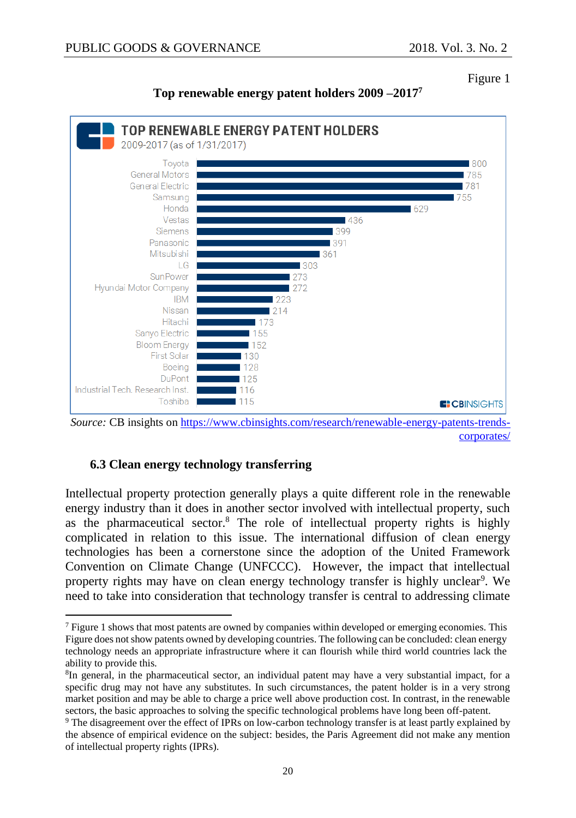Figure 1





*Source:* CB insights on [https://www.cbinsights.com/research/renewable-energy-patents-trends](https://www.cbinsights.com/research/renewable-energy-patents-trends-corporates/)[corporates/](https://www.cbinsights.com/research/renewable-energy-patents-trends-corporates/)

## **6.3 Clean energy technology transferring**

 $\overline{a}$ 

Intellectual property protection generally plays a quite different role in the renewable energy industry than it does in another sector involved with intellectual property, such as the pharmaceutical sector.<sup>8</sup> The role of intellectual property rights is highly complicated in relation to this issue. The international diffusion of clean energy technologies has been a cornerstone since the adoption of the United Framework Convention on Climate Change (UNFCCC). However, the impact that intellectual property rights may have on clean energy technology transfer is highly unclear<sup>9</sup>. We need to take into consideration that technology transfer is central to addressing climate

<sup>7</sup> Figure 1 shows that most patents are owned by companies within developed or emerging economies. This Figure does not show patents owned by developing countries. The following can be concluded: clean energy technology needs an appropriate infrastructure where it can flourish while third world countries lack the ability to provide this.

<sup>&</sup>lt;sup>8</sup>In general, in the pharmaceutical sector, an individual patent may have a very substantial impact, for a specific drug may not have any substitutes. In such circumstances, the patent holder is in a very strong market position and may be able to charge a price well above production cost. In contrast, in the renewable sectors, the basic approaches to solving the specific technological problems have long been off-patent.

<sup>9</sup> The disagreement over the effect of IPRs on low-carbon technology transfer is at least partly explained by the absence of empirical evidence on the subject: besides, the Paris Agreement did not make any mention of intellectual property rights (IPRs).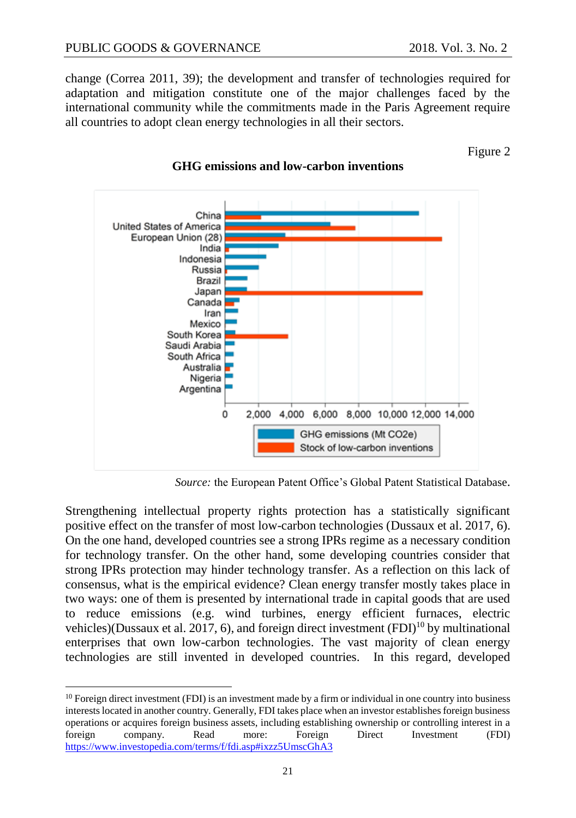change (Correa 2011, 39); the development and transfer of technologies required for

adaptation and mitigation constitute one of the major challenges faced by the international community while the commitments made in the Paris Agreement require all countries to adopt clean energy technologies in all their sectors.

Figure 2



#### **GHG emissions and low-carbon inventions**

*Source:* the European Patent Office's Global Patent Statistical Database.

Strengthening intellectual property rights protection has a statistically significant positive effect on the transfer of most low-carbon technologies (Dussaux et al. 2017, 6). On the one hand, developed countries see a strong IPRs regime as a necessary condition for technology transfer. On the other hand, some developing countries consider that strong IPRs protection may hinder technology transfer. As a reflection on this lack of consensus, what is the empirical evidence? Clean energy transfer mostly takes place in two ways: one of them is presented by international trade in capital goods that are used to reduce emissions (e.g. wind turbines, energy efficient furnaces, electric vehicles)(Dussaux et al. 2017, 6), and foreign direct investment  $(FDI)^{10}$  by multinational enterprises that own low-carbon technologies. The vast majority of clean energy technologies are still invented in developed countries. In this regard, developed

 $\overline{a}$ <sup>10</sup> Foreign direct investment (FDI) is an investment made by a firm or individual in one country into business interests located in another country. Generally, FDI takes place when an investor establishes foreign business operations or acquires foreign business assets, including establishing ownership or controlling interest in a foreign company. Read more: Foreign Direct Investment (FDI) <https://www.investopedia.com/terms/f/fdi.asp#ixzz5UmscGhA3>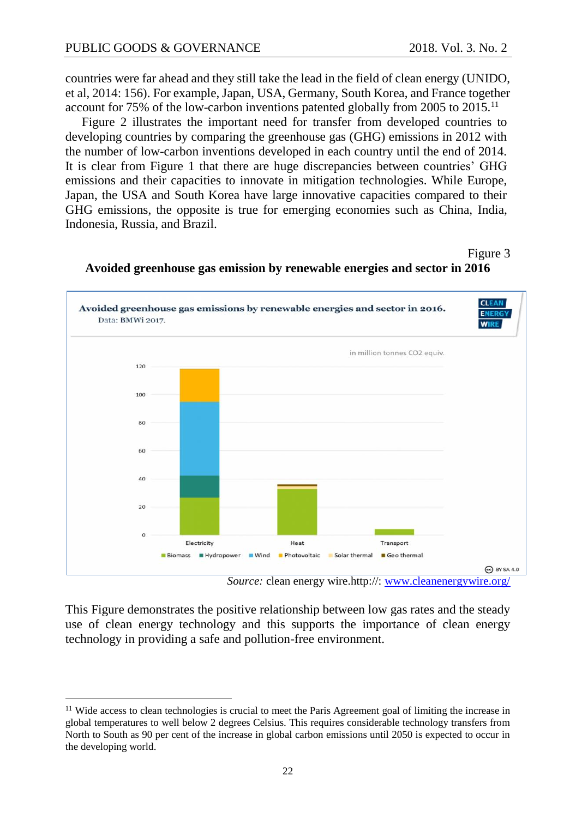l

countries were far ahead and they still take the lead in the field of clean energy (UNIDO, et al, 2014: 156). For example, Japan, USA, Germany, South Korea, and France together account for 75% of the low-carbon inventions patented globally from 2005 to 2015.<sup>11</sup>

Figure 2 illustrates the important need for transfer from developed countries to developing countries by comparing the greenhouse gas (GHG) emissions in 2012 with the number of low-carbon inventions developed in each country until the end of 2014. It is clear from Figure 1 that there are huge discrepancies between countries' GHG emissions and their capacities to innovate in mitigation technologies. While Europe, Japan, the USA and South Korea have large innovative capacities compared to their GHG emissions, the opposite is true for emerging economies such as China, India, Indonesia, Russia, and Brazil.

Figure 3



**Avoided greenhouse gas emission by renewable energies and sector in 2016**

This Figure demonstrates the positive relationship between low gas rates and the steady use of clean energy technology and this supports the importance of clean energy technology in providing a safe and pollution-free environment.

*Source:* clean energy wire.http://: [www.cleanenergywire.org/](http://www.cleanenergywire.org/)

<sup>&</sup>lt;sup>11</sup> Wide access to clean technologies is crucial to meet the Paris Agreement goal of limiting the increase in global temperatures to well below 2 degrees Celsius. This requires considerable technology transfers from North to South as 90 per cent of the increase in global carbon emissions until 2050 is expected to occur in the developing world.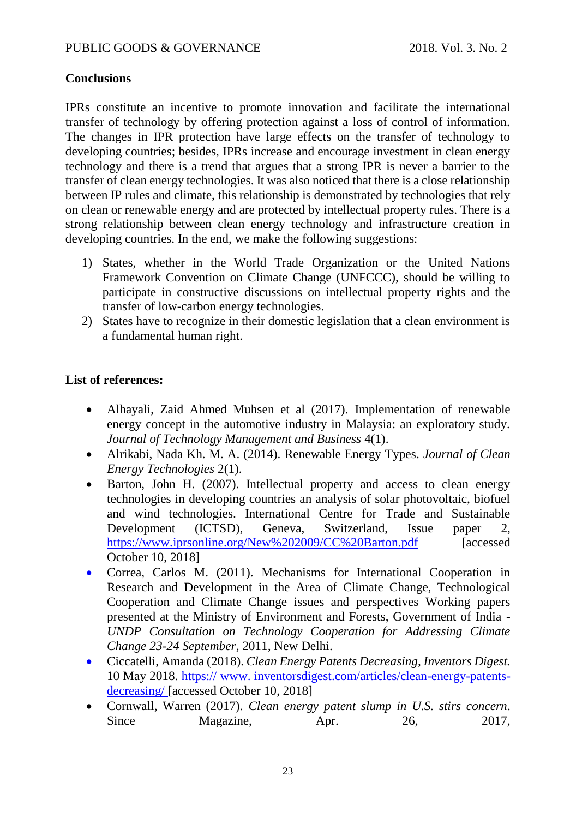#### **Conclusions**

IPRs constitute an incentive to promote innovation and facilitate the international transfer of technology by offering protection against a loss of control of information. The changes in IPR protection have large effects on the transfer of technology to developing countries; besides, IPRs increase and encourage investment in clean energy technology and there is a trend that argues that a strong IPR is never a barrier to the transfer of clean energy technologies. It was also noticed that there is a close relationship between IP rules and climate, this relationship is demonstrated by technologies that rely on clean or renewable energy and are protected by intellectual property rules. There is a strong relationship between clean energy technology and infrastructure creation in developing countries. In the end, we make the following suggestions:

- 1) States, whether in the World Trade Organization or the United Nations Framework Convention on Climate Change (UNFCCC), should be willing to participate in constructive discussions on intellectual property rights and the transfer of low-carbon energy technologies.
- 2) States have to recognize in their domestic legislation that a clean environment is a fundamental human right.

## **List of references:**

- Alhayali, Zaid Ahmed Muhsen et al (2017). Implementation of renewable energy concept in the automotive industry in Malaysia: an exploratory study. *Journal of Technology Management and Business* 4(1).
- Alrikabi, Nada Kh. M. A. (2014). Renewable Energy Types. *Journal of Clean Energy Technologies* 2(1).
- Barton, John H. (2007). Intellectual property and access to clean energy technologies in developing countries an analysis of solar photovoltaic, biofuel and wind technologies. International Centre for Trade and Sustainable Development (ICTSD), Geneva, Switzerland, Issue paper 2, https://www.iprsonline.org/New%202009/CC%20Barton.pdf [accessed] October 10, 2018]
- Correa, Carlos M. (2011). Mechanisms for International Cooperation in Research and Development in the Area of Climate Change, Technological Cooperation and Climate Change issues and perspectives Working papers presented at the Ministry of Environment and Forests, Government of India - *UNDP Consultation on Technology Cooperation for Addressing Climate Change 23-24 September*, 2011, New Delhi.
- Ciccatelli, Amanda (2018). *Clean Energy Patents Decreasing, Inventors Digest.* 10 May 2018. [https:// www. inventorsdigest.com/articles/clean-energy-patents](http://www.inventorsdigest/)[decreasing/](http://www.inventorsdigest/) [accessed October 10, 2018]
- Cornwall, Warren (2017). *Clean energy patent slump in U.S. stirs concern*. Since Magazine, Apr. 26, 2017,